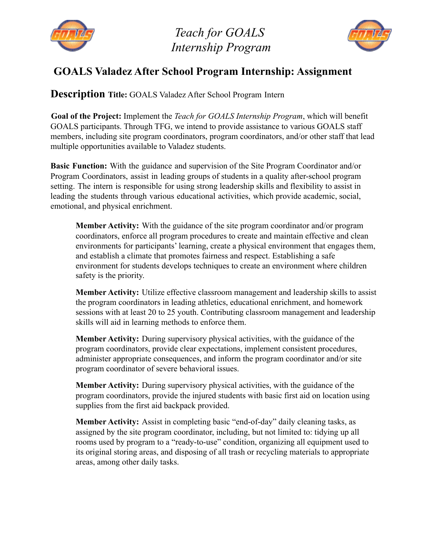

*Teach for GOALS Internship Program*



## **GOALS Valadez After School Program Internship: Assignment**

**Description Title:** GOALS Valadez After School Program Intern

**Goal of the Project:** Implement the *Teach for GOALS Internship Program*, which will benefit GOALS participants. Through TFG, we intend to provide assistance to various GOALS staff members, including site program coordinators, program coordinators, and/or other staff that lead multiple opportunities available to Valadez students.

**Basic Function:** With the guidance and supervision of the Site Program Coordinator and/or Program Coordinators, assist in leading groups of students in a quality after-school program setting. The intern is responsible for using strong leadership skills and flexibility to assist in leading the students through various educational activities, which provide academic, social, emotional, and physical enrichment.

**Member Activity:** With the guidance of the site program coordinator and/or program coordinators, enforce all program procedures to create and maintain effective and clean environments for participants' learning, create a physical environment that engages them, and establish a climate that promotes fairness and respect. Establishing a safe environment for students develops techniques to create an environment where children safety is the priority.

**Member Activity:** Utilize effective classroom management and leadership skills to assist the program coordinators in leading athletics, educational enrichment, and homework sessions with at least 20 to 25 youth. Contributing classroom management and leadership skills will aid in learning methods to enforce them.

**Member Activity:** During supervisory physical activities, with the guidance of the program coordinators, provide clear expectations, implement consistent procedures, administer appropriate consequences, and inform the program coordinator and/or site program coordinator of severe behavioral issues.

**Member Activity:** During supervisory physical activities, with the guidance of the program coordinators, provide the injured students with basic first aid on location using supplies from the first aid backpack provided.

**Member Activity:** Assist in completing basic "end-of-day" daily cleaning tasks, as assigned by the site program coordinator, including, but not limited to: tidying up all rooms used by program to a "ready-to-use" condition, organizing all equipment used to its original storing areas, and disposing of all trash or recycling materials to appropriate areas, among other daily tasks.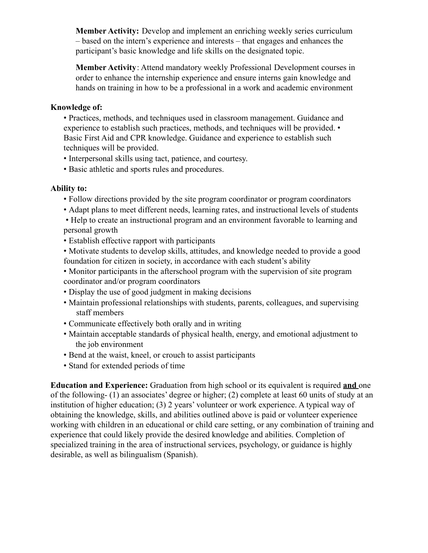**Member Activity:** Develop and implement an enriching weekly series curriculum – based on the intern's experience and interests – that engages and enhances the participant's basic knowledge and life skills on the designated topic.

**Member Activity**: Attend mandatory weekly Professional Development courses in order to enhance the internship experience and ensure interns gain knowledge and hands on training in how to be a professional in a work and academic environment

## **Knowledge of:**

• Practices, methods, and techniques used in classroom management. Guidance and experience to establish such practices, methods, and techniques will be provided. • Basic First Aid and CPR knowledge. Guidance and experience to establish such techniques will be provided.

- Interpersonal skills using tact, patience, and courtesy.
- Basic athletic and sports rules and procedures.

## **Ability to:**

- Follow directions provided by the site program coordinator or program coordinators
- Adapt plans to meet different needs, learning rates, and instructional levels of students
- Help to create an instructional program and an environment favorable to learning and personal growth
- Establish effective rapport with participants
- Motivate students to develop skills, attitudes, and knowledge needed to provide a good foundation for citizen in society, in accordance with each student's ability
- Monitor participants in the afterschool program with the supervision of site program coordinator and/or program coordinators
- Display the use of good judgment in making decisions
- Maintain professional relationships with students, parents, colleagues, and supervising staff members
- Communicate effectively both orally and in writing
- Maintain acceptable standards of physical health, energy, and emotional adjustment to the job environment
- Bend at the waist, kneel, or crouch to assist participants
- Stand for extended periods of time

**Education and Experience:** Graduation from high school or its equivalent is required **and** one of the following- (1) an associates' degree or higher; (2) complete at least 60 units of study at an institution of higher education; (3) 2 years' volunteer or work experience. A typical way of obtaining the knowledge, skills, and abilities outlined above is paid or volunteer experience working with children in an educational or child care setting, or any combination of training and experience that could likely provide the desired knowledge and abilities. Completion of specialized training in the area of instructional services, psychology, or guidance is highly desirable, as well as bilingualism (Spanish).